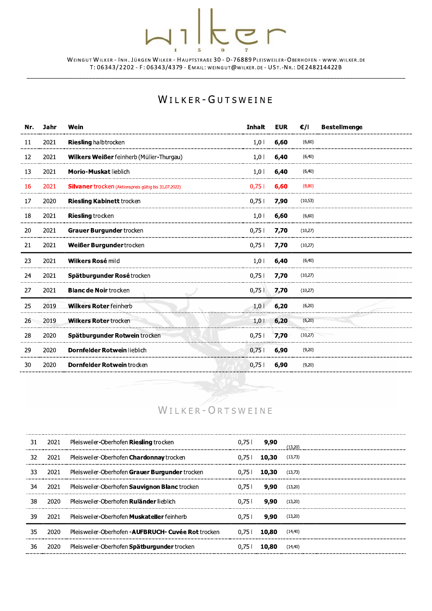|     | WEINGUT WILKER - INH. JÜRGEN WILKER - HAUPTSTRAßE 30 - D-76889 PLEISWEILER-OBERHOFEN - WWW. WILKER. DE<br>T: 06343/2202 - F: 06343/4379 - EMAIL: WEINGUT@WILKER.DE - UST.-NR.: DE248214422B |                                                       |               |            |          |                     |  |
|-----|---------------------------------------------------------------------------------------------------------------------------------------------------------------------------------------------|-------------------------------------------------------|---------------|------------|----------|---------------------|--|
|     | WILKER-GUTSWEINE                                                                                                                                                                            |                                                       |               |            |          |                     |  |
| Nr. | Jahr                                                                                                                                                                                        | Wein                                                  | <b>Inhalt</b> | <b>EUR</b> | €/I      | <b>Bestellmenge</b> |  |
| 11  | 2021                                                                                                                                                                                        | <b>Riesling halbtrocken</b>                           | 1,0           | 6,60       | (6,60)   |                     |  |
| 12  | 2021                                                                                                                                                                                        | Wilkers Weißer feinherb (Müller-Thurgau)              | 1,0           | 6,40       | (6, 40)  |                     |  |
| 13  | 2021                                                                                                                                                                                        | <b>Morio-Muskat lieblich</b>                          | 1,0           | 6,40       | (6, 40)  |                     |  |
| 16  | 2021                                                                                                                                                                                        | Silvaner trocken (Aktionspreis gültig bis 31.07.2022) | 0,75 l        | 6,60       | (8, 80)  |                     |  |
| 17  | 2020                                                                                                                                                                                        | <b>Riesling Kabinett trocken</b>                      | 0,751         | 7,90       | (10, 53) |                     |  |
| 18  | 2021                                                                                                                                                                                        | <b>Riesling</b> trocken                               | 1,0           | 6,60       | (6, 60)  |                     |  |
| 20  | 2021                                                                                                                                                                                        | Grauer Burgunder trocken                              | 0,751         | 7,70       | (10,27)  |                     |  |
| 21  | 2021                                                                                                                                                                                        | Weißer Burgundertrocken                               | 0,751         | 7,70       | (10,27)  |                     |  |
| 23  | 2021                                                                                                                                                                                        | Wilkers Rosé mild                                     | 1,0           | 6,40       | (6, 40)  |                     |  |
| 24  | 2021                                                                                                                                                                                        | Spätburgunder Rosétrocken                             | 0,751         | 7,70       | (10,27)  |                     |  |
| 27  | 2021                                                                                                                                                                                        | <b>Blanc de Noir trocken</b>                          | 0,751         | 7,70       | (10,27)  |                     |  |
| 25  | 2019                                                                                                                                                                                        | <b>Wilkers Roter feinherb</b>                         | 1,0           | 6,20       | (6,20)   |                     |  |
| 26  | 2019                                                                                                                                                                                        | <b>Wilkers Roter trocken</b>                          | $1,0$         | 6,20       | (6,20)   |                     |  |
| 28  | 2020                                                                                                                                                                                        | Spätburgunder Rotwein trocken                         | 0,751         | 7,70       | (10,27)  |                     |  |
| 29  | 2020                                                                                                                                                                                        | Dornfelder Rotwein lieblich                           | 0,75          | 6,90       | (9,20)   |                     |  |
| 30  | 2020                                                                                                                                                                                        | Dornfelder Rotwein trocken                            | 0,751         | 6,90       | (9,20)   |                     |  |
|     |                                                                                                                                                                                             |                                                       |               |            |          |                     |  |



| 28 | 2020 | Spätburgunder Rotwein trocken                       | 0,75  | 7,70  | (10,27)  |
|----|------|-----------------------------------------------------|-------|-------|----------|
| 29 | 2020 | Dornfelder Rotwein lieblich                         | 0,751 | 6,90  | (9,20)   |
| 30 | 2020 | <b>Dornfelder Rotwein trocken</b>                   | 0,751 | 6,90  | (9,20)   |
|    |      |                                                     |       |       |          |
|    |      |                                                     |       |       |          |
|    |      | WILKER-ORTSWEINE                                    |       |       |          |
|    |      |                                                     |       |       |          |
| 31 | 2021 | Pleisweiler-Oberhofen Riesling trocken              | 0,751 | 9,90  | (13,20)  |
| 32 | 2021 | Pleisweiler-Oberhofen Chardonnay trocken            | 0.751 | 10,30 | (13,73)  |
| 33 | 2021 | Pleisweiler-Oberhofen Grauer Burgunder trocken      | 0,751 | 10,30 | (13,73)  |
| 34 | 2021 | Pleisweiler-Oberhofen Sauvignon Blanc trocken       | 0,751 | 9,90  | (13,20)  |
| 38 | 2020 | Pleisweiler-Oberhofen Ruländer lieblich             | 0,751 | 9,90  | (13,20)  |
| 39 | 2021 | Pleisweiler-Oberhofen Muskateller feinherb          | 0,751 | 9,90  | (13,20)  |
| 35 | 2020 | Pleisweiler-Oberhofen - AUFBRUCH- Cuvée Rot trocken | 0.751 | 10,80 | (14, 40) |
| 36 | 2020 | Pleisweiler-Oberhofen Spätburgunder trocken         | 0,751 | 10,80 | (14, 40) |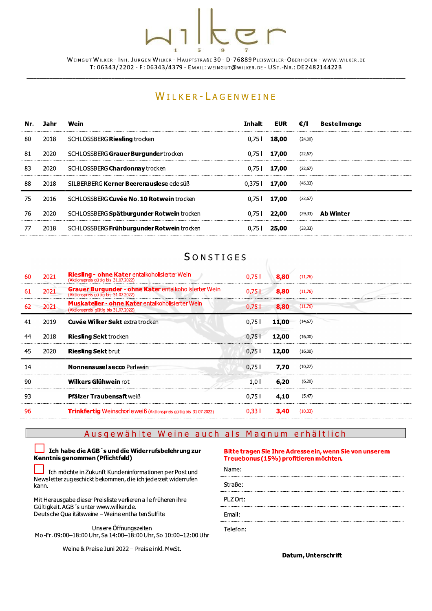# $\overline{5}$

WEINGUT WILKER - INH. JÜRGEN WILKER - HAUPTSTRABE 30 - D-76889 PLEISWEILER-OBERHOFEN - WWW.WILKER.DE T: 06343/2202 - F: 06343/4379 - EMAIL: WEINGUT@WILKER.DE - UST.-NR.: DE248214422B

## WILKER-LAGENWEINE

| Nr. | Jahr | Wein                                      | Inhalt          | EUR $\epsilon$ /I |          | Bestellmenge |
|-----|------|-------------------------------------------|-----------------|-------------------|----------|--------------|
| -80 | 2018 | SCHLOSSBERG Riesling trocken              | 0.75 L          | 18,00             | (24,00)  |              |
| 81  | 2020 | SCHLOSSBERG Grauer Burgunder trocken      |                 | $0.751$ 17,00     | (22,67)  |              |
| 83  | 2020 | SCHLOSSBERG <b>Chardonnay</b> trocken     |                 | $0.751$ 17,00     | (22,67)  |              |
| 88  | 2018 | SILBERBERG Kerner Beerenauslese edelsüß   | $0.375$   17,00 |                   | (45, 33) |              |
| 75  | 2016 | SCHLOSSBERG Cuvée No. 10 Rotwein trocken  |                 | $0.751$ 17,00     | (22, 67) |              |
| 76  | 2020 | SCHLOSSBERG Spätburgunder Rotwein trocken | 0.75 L          | 22,00             | (29, 33) | Ab Winter    |
|     | 2018 | SCHLOSSBERG Frühburgunder Rotwein trocken |                 | 25,00             | (33,33)  |              |

## **SONSTIGES**

| 60 | 2021 | <b>Riesling - ohne Kater</b> entalkoholisierter Wein<br>(Aktionspreis gültig bis 31.07.2022)    | $0.75$           | <b>8.80</b> $(11,76)$ |         |
|----|------|-------------------------------------------------------------------------------------------------|------------------|-----------------------|---------|
| 61 | 2021 | Grauer Burgunder - ohne Kater entalkoholisierter Wein<br>(Aktionspreis gültig bis 31.07.2022)   | 0.75             | 8,80                  | (11,76) |
|    | 2021 | <b>Muskateller - ohne Kater</b> entalkoholisierter Wein<br>(Aktionspreis gültig bis 31.07.2022) | 0.751            | 8,80                  | (11,76) |
|    | 2019 | <b>Cuvée Wilker Sekt</b> extra trocken                                                          | 0,751            | 11,00                 | (14,67) |
| 44 | 2018 | <b>Riesling Sekt trocken</b>                                                                    | $0.75$           | 12,00                 | (16.00) |
| 45 | 2020 | <b>Riesling Sekt brut</b>                                                                       | 0.751            | 12,00                 | (16,00) |
| 14 |      | <b>Nonnensusel secco Perlwein</b>                                                               | 0,751            | 7.70                  | (10,27) |
| 90 |      | Wilkers Glühwein rot                                                                            | 1.0 <sub>1</sub> | 6,20                  | (6,20)  |
| 93 |      | <b>Pfälzer Traubensaft</b> weiß                                                                 | 0.751            | 4,10                  | (5, 47) |
| 96 |      | Trinkfertig Weinschorle weiß (Aktionspreis gültig bis 31.07.2022)                               | 0.331            | 3,40                  | (10.33) |
|    |      |                                                                                                 |                  |                       |         |

## Ausgewählte Weine auch als Magnum erhältlich

## Ich habe die AGB 's und die Widerrufsbelehrung zur<br>Kenntnis genommen (Pflichtfeld)

Ich möchte in Zukunft Kundeninformationen per Post und Newsletter zugeschickt bekommen, die ich jederzeit widerrufen kann.

Mit Herausgabe dieser Preisliste verlieren alle früheren ihre Gültigkeit. AGB 's unter www.wilker.de. Deutsche Qualitätsweine – Weine enthalten Sulfite

Unsere Öffnungszeiten Mo-Fr. 09:00-18:00 Uhr, Sa 14:00-18:00 Uhr, So 10:00-12:00 Uhr

Weine & Preise Juni 2022 - Preise inkl. MwSt.

## Bitte tragen Sie Ihre Adresse ein, wenn Sie von unserem Treuebonus (15%) profitieren möchten.



PLZ Ort:

Email:

Telefon:

Datum, Unterschrift